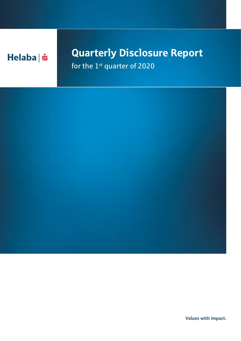

## Quarterly Disclosure Report

for the 1<sup>st</sup> quarter of 2020



Values with impact.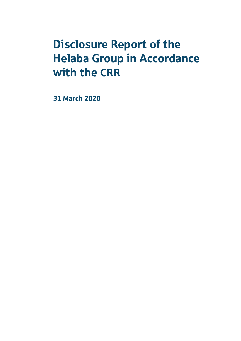# Disclosure Report of the Helaba Group in Accordance with the CRR

31 March 2020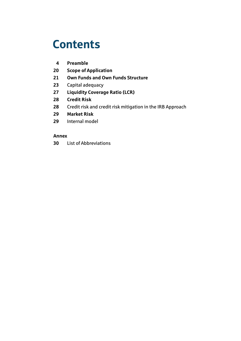## **Contents**

- **[Preamble](#page-5-0)**
- **[Scope of Application](#page-21-0)**
- **[Own Funds and Own Funds Structure](#page-22-0)**
- [Capital adequacy](#page-24-0)
- **[Liquidity Coverage Ratio \(LCR\)](#page-28-0)**
- **[Credit Risk](#page-29-0)**
- [Credit risk and credit risk mitigation in the IRB Approach](#page-29-0)
- **[Market Risk](#page-30-0)**
- [Internal model](#page-30-0)

### **Annex**

[List of Abbreviations](#page-31-0)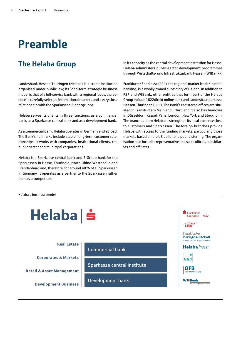## <span id="page-5-0"></span>Preamble

## The Helaba Group

Landesbank Hessen-Thüringen (Helaba) is a credit institution organised under public law; its long-term strategic business model is that of a full-service bank with a regional focus, a presence in carefully selected international markets and a very close relationship with the Sparkassen-Finanzgruppe.

Helaba serves its clients in three functions: as a commercial bank, as a Sparkasse central bank and as a development bank.

As a commercial bank, Helaba operates in Germany and abroad. The Bank's hallmarks include stable, long-term customer relationships. It works with companies, institutional clients, the public sector and municipal corporations.

Helaba is a Sparkasse central bank and S-Group bank for the Sparkassen in Hesse, Thuringia, North Rhine-Westphalia and Brandenburg and, therefore, for around 40% of all Sparkassen in Germany. It operates as a partner to the Sparkassen rather than as a competitor.

In its capacity as the central development institution for Hesse, Helaba administers public-sector development programmes through Wirtschafts- und Infrastrukturbank Hessen (WIBank).

Frankfurter Sparkasse (FSP), the regional market leader in retail banking, is a wholly owned subsidiary of Helaba. In addition to FSP and WIBank, other entities that form part of the Helaba Group include 1822direkt online bank and Landesbausparkasse Hessen-Thüringen (LBS). The Bank's registered offices are situated in Frankfurt am Main and Erfurt, and it also has branches in Düsseldorf, Kassel, Paris, London, New York and Stockholm. The branches allow Helaba to strengthen its local presence close to customers and Sparkassen. The foreign branches provide Helaba with access to the funding markets, particularly those markets based on the US dollar and pound sterling. The organisation also includes representative and sales offices, subsidiaries and affiliates.

Helaba's business model

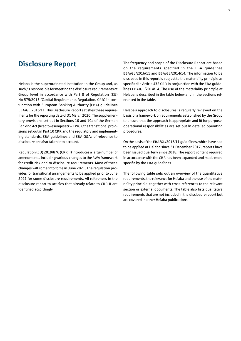### Disclosure Report

Helaba is the superordinated institution in the Group and, as such, is responsible for meeting the disclosure requirements at Group level in accordance with Part 8 of Regulation (EU) No 575/2013 (Capital Requirements Regulation, CRR) in conjunction with European Banking Authority (EBA) guidelines EBA/GL/2016/11. This Disclosure Report satisfies these requirements for the reporting date of 31 March 2020. The supplementary provisions set out in Sections 10 and 10a of the German Banking Act (Kreditwesengesetz – KWG), the transitional provisions set out in Part 10 CRR and the regulatory and implementing standards, EBA guidelines and EBA Q&As of relevance to disclosure are also taken into account.

Regulation (EU) 2019/876 (CRR II) introduces a large number of amendments, including various changes to the RWA framework for credit risk and to disclosure requirements. Most of these changes will come into force in June 2021. The regulation provides for transitional arrangements to be applied prior to June 2021 for some disclosure requirements. All references in the disclosure report to articles that already relate to CRR II are identified accordingly.

The frequency and scope of the Disclosure Report are based on the requirements specified in the EBA guidelines EBA/GL/2016/11 and EBA/GL/2014/14. The information to be disclosed in this report is subject to the materiality principle as specified in Article 432 CRR in conjunction with the EBA guidelines EBA/GL/2014/14. The use of the materiality principle at Helaba is described in the table below and in the sections referenced in the table.

Helaba's approach to disclosures is regularly reviewed on the basis of a framework of requirements established by the Group to ensure that the approach is appropriate and fit for purpose; operational responsibilities are set out in detailed operating procedures.

On the basis of the EBA/GL/2016/11 guidelines, which have had to be applied at Helaba since 31 December 2017, reports have been issued quarterly since 2018. The report content required in accordance with the CRR has been expanded and made more specific by the EBA guidelines.

The following table sets out an overview of the quantitative requirements, the relevance for Helaba and the use of the materiality principle, together with cross-references to the relevant section or external documents. The table also lists qualitative requirements that are not included in the disclosure report but are covered in other Helaba publications.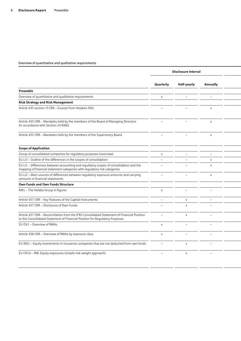|                                                                                                                                                                            |                          | Disclosure interval      |                           |  |
|----------------------------------------------------------------------------------------------------------------------------------------------------------------------------|--------------------------|--------------------------|---------------------------|--|
|                                                                                                                                                                            | Quarterly                | Half-yearly              | Annually                  |  |
| Preamble                                                                                                                                                                   |                          |                          |                           |  |
| Overview of quantitative and qualitative requirements                                                                                                                      | $\times$                 | $\overline{\phantom{m}}$ | $\equiv$                  |  |
| <b>Risk Strategy and Risk Management</b>                                                                                                                                   |                          |                          |                           |  |
| Article 435 section 1f CRR - Excerpt from Helaba's RAS                                                                                                                     |                          |                          | $\boldsymbol{\mathsf{x}}$ |  |
| Article 435 CRR - Mandates held by the members of the Board of Managing Directors<br>(in accordance with Section 24 KWG)                                                   |                          |                          | $\times$                  |  |
| Article 435 CRR - Mandates held by the members of the Supervisory Board                                                                                                    | $\overline{\phantom{0}}$ | $\overline{\phantom{0}}$ | $\times$                  |  |
| <b>Scope of Application</b>                                                                                                                                                |                          |                          |                           |  |
| Group of consolidated companies for regulatory purposes (overview)                                                                                                         | $\times$                 |                          |                           |  |
| EU LI3 - Outline of the differences in the scopes of consolidation                                                                                                         | $\overline{\phantom{a}}$ | $\overline{\phantom{0}}$ | $\mathsf{X}$              |  |
| EU LI1 - Differences between accounting and regulatory scopes of consolidation and the<br>mapping of financial statement categories with regulatory risk categories        |                          |                          | $\times$                  |  |
| EU LI2 - Main sources of differences between regulatory exposure amounts and carrying<br>amounts in financial statements                                                   | $\overline{\phantom{0}}$ |                          | $\times$                  |  |
| Own Funds and Own Funds Structure                                                                                                                                          |                          |                          |                           |  |
| KM1 - The Helaba Group in figures                                                                                                                                          | $\times$                 | $\overline{\phantom{0}}$ |                           |  |
| Article 437 CRR - Key Features of the Capital Instruments                                                                                                                  | $-$                      | $\times$                 | $\overline{\phantom{a}}$  |  |
| Article 437 CRR - Disclosure of Own Funds                                                                                                                                  |                          | $\mathsf{x}$             |                           |  |
| Article 437 CRR - Reconciliation from the IFRS Consolidated Statement of Financial Position<br>to the Consolidated Statement of Financial Position for Regulatory Purposes | $\overline{\phantom{0}}$ | $\mathsf{x}$             |                           |  |
| EU OV1 - Overview of RWAs                                                                                                                                                  | $\times$                 |                          |                           |  |
| Article 438 CRR - Overview of RWAs by exposure class                                                                                                                       | $\mathsf{x}$             |                          |                           |  |
| EU INS1 - Equity investments in insurance companies that are not deducted from own funds                                                                                   | $\overline{\phantom{0}}$ | $\times$                 |                           |  |
| EU CR10 - IRB: Equity exposures (simple risk-weight approach)                                                                                                              |                          | $\times$                 |                           |  |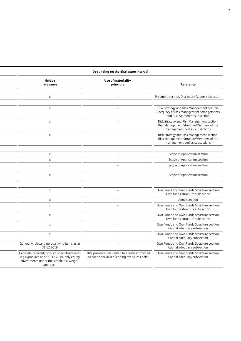|                                                                                                                                                      | Depending on the disclosure interval                                                          |                                                                                                                         |
|------------------------------------------------------------------------------------------------------------------------------------------------------|-----------------------------------------------------------------------------------------------|-------------------------------------------------------------------------------------------------------------------------|
| Helaba<br>relevance                                                                                                                                  | Use of materiality<br>principle                                                               | Reference                                                                                                               |
|                                                                                                                                                      |                                                                                               |                                                                                                                         |
| $\times$                                                                                                                                             |                                                                                               | Preamble section, Disclosure Report subsection                                                                          |
|                                                                                                                                                      |                                                                                               |                                                                                                                         |
| $\times$                                                                                                                                             |                                                                                               | Risk Strategy and Risk Management section,<br>Adequacy of Risk Management Arrangements<br>and Risk Statement subsection |
| $\mathsf{X}$                                                                                                                                         |                                                                                               | Risk Strategy and Risk Management section,<br>Risk Management Structure/Members of the<br>management bodies subsections |
| $\times$                                                                                                                                             | $\overline{\phantom{a}}$                                                                      | Risk Strategy and Risk Management section,<br>Risk Management Structure/Members of the<br>management bodies subsections |
|                                                                                                                                                      |                                                                                               |                                                                                                                         |
| $\mathsf{X}$                                                                                                                                         |                                                                                               | Scope of Application section                                                                                            |
| $\mathsf{X}$<br>$\times$                                                                                                                             |                                                                                               | Scope of Application section<br>Scope of Application section                                                            |
|                                                                                                                                                      |                                                                                               |                                                                                                                         |
| $\times$                                                                                                                                             | $\overline{\phantom{0}}$                                                                      | Scope of Application section                                                                                            |
|                                                                                                                                                      |                                                                                               |                                                                                                                         |
| $\times$                                                                                                                                             |                                                                                               | Own Funds and Own Funds Structure section,<br>Own funds structure subsection                                            |
| $\mathsf{X}$                                                                                                                                         | $\overline{\phantom{0}}$                                                                      | Annex section                                                                                                           |
| $\times$                                                                                                                                             |                                                                                               | Own Funds and Own Funds Structure section,<br>Own funds structure subsection                                            |
| $\times$                                                                                                                                             |                                                                                               | Own Funds and Own Funds Structure section,<br>Own funds structure subsection                                            |
| $\times$                                                                                                                                             | $\overline{\phantom{0}}$                                                                      | Own Funds and Own Funds Structure section,<br>Capital adequacy subsection                                               |
| $\times$                                                                                                                                             | $\overline{\phantom{0}}$                                                                      | Own Funds and Own Funds Structure section,<br>Capital adequacy subsection                                               |
| Generally relevant, no qualifying items as at<br>31.12.2019                                                                                          | $\overline{\phantom{0}}$                                                                      | Own Funds and Own Funds Structure section,<br>Capital adequacy subsection                                               |
| Generally relevant; no such specialised lend-<br>ing exposures as at 31.12.2019, only equity<br>investments under the simple risk weight<br>approach | Table presentation limited to equities provided<br>no such specialised lending exposures held | Own Funds and Own Funds Structure section,<br>Capital adequacy subsection                                               |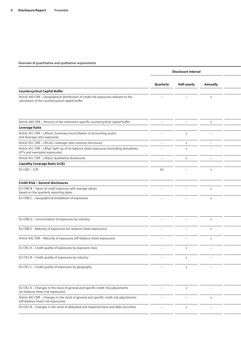|                                                                                                                                           |                                 | Disclosure interval      |                                 |  |
|-------------------------------------------------------------------------------------------------------------------------------------------|---------------------------------|--------------------------|---------------------------------|--|
|                                                                                                                                           | Quarterly                       | Half-yearly              | Annually                        |  |
|                                                                                                                                           |                                 |                          |                                 |  |
| <b>Countercyclical Capital Buffer</b>                                                                                                     |                                 |                          |                                 |  |
| Article 440 CRR - Geographical distribution of credit risk exposures relevant to the<br>calculation of the countercyclical capital buffer |                                 |                          | $\times$                        |  |
| Article 440 CRR - Amount of the institution-specific countercyclical capital buffer                                                       | $\qquad \qquad -$               | $\overline{\phantom{0}}$ | $\times$                        |  |
| <b>Leverage Ratio</b>                                                                                                                     |                                 |                          |                                 |  |
| Article 451 CRR - LRSum: Summary reconciliation of accounting assets<br>and leverage ratio exposures                                      |                                 | $\times$                 |                                 |  |
| Article 451 CRR - LRCom: Leverage ratio common disclosure                                                                                 | $\overline{\phantom{a}}$        | $\times$                 |                                 |  |
| Article 451 CRR - LRSpl: Split-up of on-balance sheet exposures (excluding derivatives,<br>SFTs and exempted exposures)                   |                                 | $\mathsf{x}$             |                                 |  |
| Article 451 CRR - LRQua: Qualitative disclosures                                                                                          | $\overline{\phantom{0}}$        | $\times$                 |                                 |  |
| <b>Liquidity Coverage Ratio (LCR)</b>                                                                                                     |                                 |                          |                                 |  |
| EU LIQ1 - LCR                                                                                                                             | (x)                             |                          | $\times$                        |  |
| Credit Risk - General disclosures                                                                                                         |                                 |                          |                                 |  |
| EU CRB-B - Types of credit exposure with average values<br>based on the quarterly reporting dates                                         |                                 |                          | $\mathsf{X}$                    |  |
| EU CRB-C - Geographical breakdown of exposures                                                                                            |                                 |                          | $\times$                        |  |
|                                                                                                                                           |                                 |                          |                                 |  |
| EU CRB-D - Concentration of exposures by industry                                                                                         |                                 |                          | $\times$                        |  |
| EU CRB-E - Maturity of exposures (on-balance sheet exposures)                                                                             |                                 |                          | $\times$                        |  |
| Article 442 CRR - Maturity of exposures (off-balance sheet exposures)                                                                     |                                 |                          | $\times$                        |  |
| EU CR1-A - Credit quality of exposures by exposure class                                                                                  | $\hspace{0.1mm}-\hspace{0.1mm}$ | $\times$                 | $\hspace{0.1mm}-\hspace{0.1mm}$ |  |
| EU CR1-B - Credit quality of exposures by industry                                                                                        |                                 | $\times$                 |                                 |  |
| EU CR1-C - Credit quality of exposures by geography                                                                                       |                                 | $\times$                 |                                 |  |
|                                                                                                                                           |                                 |                          |                                 |  |
| EU CR2-A - Changes in the stock of general and specific credit risk adjustments<br>(on-balance sheet risk exposures)                      |                                 | $\times$                 | $\overline{\phantom{0}}$        |  |
| Article 442 CRR - Changes in the stock of general and specific credit risk adjustments<br>(off-balance sheet risk exposures)              |                                 |                          | $\times$                        |  |
| EU CR2-B - Changes in the stock of defaulted and impaired loans and debt securities                                                       | $\qquad \qquad -$               | $\times$                 | $\overline{\phantom{m}}$        |  |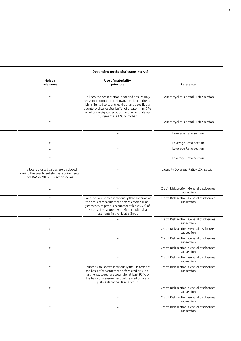|                                                                                                                             | Depending on the disclosure interval                                                                                                                                                                                                                                                             |                                                        |
|-----------------------------------------------------------------------------------------------------------------------------|--------------------------------------------------------------------------------------------------------------------------------------------------------------------------------------------------------------------------------------------------------------------------------------------------|--------------------------------------------------------|
| Helaba<br>relevance                                                                                                         | Use of materiality<br>principle                                                                                                                                                                                                                                                                  | Reference                                              |
| $\mathsf{X}$                                                                                                                | To keep the presentation clear and ensure only<br>relevant information is shown, the data in the ta-<br>ble is limited to countries that have specified a<br>countercyclical capital buffer of greater than 0 %<br>or whose weighted proportion of own funds re-<br>quirements is 1 % or higher. | Countercyclical Capital Buffer section                 |
| $\times$                                                                                                                    |                                                                                                                                                                                                                                                                                                  | Countercyclical Capital Buffer section                 |
| $\times$                                                                                                                    |                                                                                                                                                                                                                                                                                                  | Leverage Ratio section                                 |
| $\times$                                                                                                                    | $\overline{\phantom{m}}$                                                                                                                                                                                                                                                                         | Leverage Ratio section                                 |
| $\mathsf{X}$                                                                                                                |                                                                                                                                                                                                                                                                                                  | Leverage Ratio section                                 |
| $\mathsf{X}$                                                                                                                | $\overline{\phantom{0}}$                                                                                                                                                                                                                                                                         | Leverage Ratio section                                 |
| The total adjusted values are disclosed<br>during the year to satisfy the requirements<br>of EBA/GL/2016/11, section 27 (e) |                                                                                                                                                                                                                                                                                                  | Liquidity Coverage Ratio (LCR) section                 |
| $\mathsf{X}$                                                                                                                |                                                                                                                                                                                                                                                                                                  | Credit Risk section, General disclosures<br>subsection |
| $\mathsf{X}$                                                                                                                | Countries are shown individually that, in terms of<br>the basis of measurement before credit risk ad-<br>justments, together account for at least 95 % of<br>the basis of measurement before credit risk ad-<br>justments in the Helaba Group                                                    | Credit Risk section, General disclosures<br>subsection |
| $\mathsf{X}$                                                                                                                |                                                                                                                                                                                                                                                                                                  | Credit Risk section, General disclosures<br>subsection |
| $\times$                                                                                                                    |                                                                                                                                                                                                                                                                                                  | Credit Risk section, General disclosures<br>subsection |
| $\times$                                                                                                                    | $\overline{\phantom{m}}$                                                                                                                                                                                                                                                                         | Credit Risk section, General disclosures<br>subsection |
| $\times$                                                                                                                    | $\overline{\phantom{m}}$                                                                                                                                                                                                                                                                         | Credit Risk section, General disclosures<br>subsection |
| $\mathsf{X}$                                                                                                                | $\overline{\phantom{m}}$                                                                                                                                                                                                                                                                         | Credit Risk section, General disclosures<br>subsection |
| $\times$                                                                                                                    | Countries are shown individually that, in terms of<br>the basis of measurement before credit risk ad-<br>justments, together account for at least 95 % of<br>the basis of measurement before credit risk ad-<br>justments in the Helaba Group                                                    | Credit Risk section, General disclosures<br>subsection |
| $\times$                                                                                                                    | $\overline{\phantom{m}}$                                                                                                                                                                                                                                                                         | Credit Risk section, General disclosures<br>subsection |
| $\mathsf{X}$                                                                                                                | $-$                                                                                                                                                                                                                                                                                              | Credit Risk section, General disclosures<br>subsection |
| $\mathsf{X}$                                                                                                                | $\overline{\phantom{m}}$                                                                                                                                                                                                                                                                         | Credit Risk section, General disclosures<br>subsection |
|                                                                                                                             |                                                                                                                                                                                                                                                                                                  |                                                        |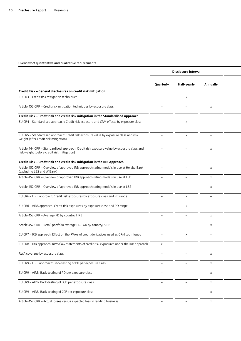|                                                                                                                                          |                          | Disclosure interval |                           |  |
|------------------------------------------------------------------------------------------------------------------------------------------|--------------------------|---------------------|---------------------------|--|
|                                                                                                                                          | Quarterly                | Half-yearly         | Annually                  |  |
| Credit Risk - General disclosures on credit risk mitigation                                                                              |                          |                     |                           |  |
| EU CR3 - Credit risk mitigation techniques                                                                                               |                          |                     |                           |  |
| Article 453 CRR - Credit risk mitigation techniques by exposure class                                                                    |                          |                     | $\times$                  |  |
| Credit Risk - Credit risk and credit risk mitigation in the Standardised Approach                                                        |                          |                     |                           |  |
| EU CR4 - Standardised approach: Credit risk exposure and CRM effects by exposure class                                                   |                          |                     |                           |  |
| EU CR5 - Standardised approach: Credit risk exposure value by exposure class and risk<br>weight (after credit risk mitigation)           |                          |                     |                           |  |
| Article 444 CRR - Standardised approach: Credit risk exposure value by exposure class and<br>risk weight (before credit risk mitigation) |                          |                     | X                         |  |
| Credit Risk - Credit risk and credit risk mitigation in the IRB Approach                                                                 |                          |                     |                           |  |
| Article 452 CRR - Overview of approved IRB approach rating models in use at Helaba Bank<br>(excluding LBS and WIBank)                    |                          |                     | $\boldsymbol{\mathsf{x}}$ |  |
| Article 452 CRR - Overview of approved IRB approach rating models in use at FSP                                                          | $\overline{\phantom{0}}$ |                     | $\boldsymbol{\mathsf{x}}$ |  |
| Article 452 CRR - Overview of approved IRB approach rating models in use at LBS                                                          |                          |                     | $\boldsymbol{\mathsf{x}}$ |  |
| EU CR6 - FIRB approach: Credit risk exposures by exposure class and PD range                                                             |                          | $\mathbf{x}$        |                           |  |
| EU CR6 - AIRB approach: Credit risk exposures by exposure class and PD range                                                             |                          |                     |                           |  |
| Article 452 CRR - Average PD by country, FIRB                                                                                            | $\overline{\phantom{0}}$ |                     | $\boldsymbol{\mathsf{x}}$ |  |
| Article 452 CRR - Retail portfolio average PD/LGD by country, AIRB                                                                       | $\overline{\phantom{0}}$ |                     | $\mathsf{x}$              |  |
| EU CR7 - IRB approach: Effect on the RWAs of credit derivatives used as CRM techniques                                                   | $\overline{\phantom{0}}$ | $\times$            | $\overline{\phantom{0}}$  |  |
| EU CR8 - IRB approach: RWA flow statements of credit risk exposures under the IRB approach                                               | $\mathsf{x}$             |                     | $\overline{\phantom{0}}$  |  |
| RWA coverage by exposure class                                                                                                           | $\overline{\phantom{0}}$ |                     | X                         |  |
| EU CR9 - FIRB approach: Back-testing of PD per exposure class                                                                            |                          |                     | X                         |  |
| EU CR9 - AIRB: Back-testing of PD per exposure class                                                                                     |                          |                     | $\pmb{\times}$            |  |
| EU CR9 - AIRB: Back-testing of LGD per exposure class                                                                                    |                          |                     | $\mathsf X$               |  |
| EU CR9 - AIRB: Back-testing of CCF per exposure class                                                                                    |                          |                     | $\mathsf X$               |  |
| Article 452 CRR - Actual losses versus expected loss in lending business                                                                 | $\overline{\phantom{0}}$ |                     | $\pmb{\times}$            |  |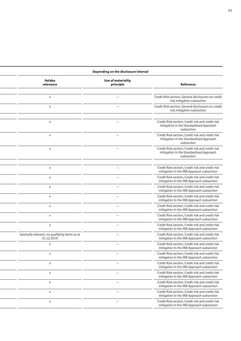| Helaba<br>relevance                                         | Use of materiality<br>principle | Reference                                                                                                 |
|-------------------------------------------------------------|---------------------------------|-----------------------------------------------------------------------------------------------------------|
|                                                             |                                 |                                                                                                           |
| $\times$                                                    |                                 | Credit Risk section, General disclosures on credit<br>risk mitigation subsection                          |
| $\times$                                                    |                                 | Credit Risk section, General disclosures on credit<br>risk mitigation subsection                          |
| $\times$                                                    |                                 | Credit Risk section, Credit risk and credit risk<br>mitigation in the Standardised Approach<br>subsection |
| $\times$                                                    |                                 | Credit Risk section, Credit risk and credit risk<br>mitigation in the Standardised Approach<br>subsection |
| $\times$                                                    |                                 | Credit Risk section, Credit risk and credit risk<br>mitigation in the Standardised Approach<br>subsection |
| $\mathsf{X}$                                                | $-$                             | Credit Risk section, Credit risk and credit risk<br>mitigation in the IRB Approach subsection             |
| $\times$                                                    | $\overline{\phantom{0}}$        | Credit Risk section, Credit risk and credit risk<br>mitigation in the IRB Approach subsection             |
| $\times$                                                    | $\overline{\phantom{0}}$        | Credit Risk section, Credit risk and credit risk<br>mitigation in the IRB Approach subsection             |
| $\times$                                                    | $\qquad \qquad -$               | Credit Risk section, Credit risk and credit risk<br>mitigation in the IRB Approach subsection             |
| $\times$                                                    | $\overline{\phantom{m}}$        | Credit Risk section, Credit risk and credit risk<br>mitigation in the IRB Approach subsection             |
| $\times$                                                    | $\overline{\phantom{m}}$        | Credit Risk section, Credit risk and credit risk<br>mitigation in the IRB Approach subsection             |
| $\times$                                                    | $\qquad \qquad -$               | Credit Risk section, Credit risk and credit risk<br>mitigation in the IRB Approach subsection             |
| Generally relevant, no qualifying items as at<br>31.12.2019 |                                 | Credit Risk section, Credit risk and credit risk<br>mitigation in the IRB Approach subsection             |
| $\mathsf{X}$                                                | $\overline{\phantom{0}}$        | Credit Risk section, Credit risk and credit risk<br>mitigation in the IRB Approach subsection             |
| $\times$                                                    |                                 | Credit Risk section, Credit risk and credit risk<br>mitigation in the IRB Approach subsection             |
| $\times$                                                    | $\overline{\phantom{0}}$        | Credit Risk section, Credit risk and credit risk<br>mitigation in the IRB Approach subsection             |
| $\pmb{\times}$                                              | $\overline{\phantom{0}}$        | Credit Risk section, Credit risk and credit risk<br>mitigation in the IRB Approach subsection             |
| $\times$                                                    | $\overline{\phantom{0}}$        | Credit Risk section, Credit risk and credit risk<br>mitigation in the IRB Approach subsection             |
| $\boldsymbol{\mathsf{X}}$                                   | $\overline{\phantom{m}}$        | Credit Risk section, Credit risk and credit risk<br>mitigation in the IRB Approach subsection             |
| $\boldsymbol{\mathsf{X}}$                                   | $\hspace{0.1mm}-\hspace{0.1mm}$ | Credit Risk section, Credit risk and credit risk<br>mitigation in the IRB Approach subsection             |

 $\overline{a}$ 

#### **Disclosure interval Depending on the disclosure interval**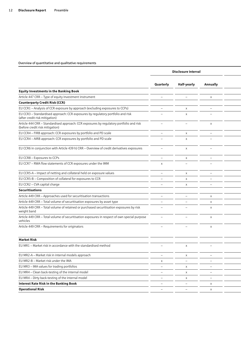|                                                                                                                            |                          | Disclosure interval             |                           |  |
|----------------------------------------------------------------------------------------------------------------------------|--------------------------|---------------------------------|---------------------------|--|
|                                                                                                                            | Quarterly                | Half-yearly                     | Annually                  |  |
| <b>Equity Investments in the Banking Book</b>                                                                              |                          |                                 |                           |  |
| Article 447 CRR - Type of equity investment instrument                                                                     | $\qquad \qquad$          |                                 | $\times$                  |  |
| <b>Counterparty Credit Risk (CCR)</b>                                                                                      |                          |                                 |                           |  |
|                                                                                                                            |                          |                                 |                           |  |
| EU CCR1 - Analysis of CCR exposure by approach (excluding exposures to CCPs)                                               | $\qquad \qquad -$        | $\times$                        | $\overline{\phantom{m}}$  |  |
| EU CCR3 - Standardised approach: CCR exposures by regulatory portfolio and risk<br>(after credit risk mitigation)          |                          | $\times$                        |                           |  |
| Article 444 CRR - Standardised approach: CCR exposures by regulatory portfolio and risk<br>(before credit risk mitigation) | $-$                      | —                               | $\times$                  |  |
| EU CCR4 - FIRB approach: CCR exposures by portfolio and PD scale                                                           | $\qquad \qquad -$        | $\times$                        | $\overline{\phantom{m}}$  |  |
| EU CCR4 - AIRB approach: CCR exposures by portfolio and PD scale                                                           | $\overline{\phantom{m}}$ | $\times$                        |                           |  |
| EU CCR6 in conjunction with Article 439 h) CRR - Overview of credit derivatives exposures                                  | $\overline{\phantom{m}}$ | $\times$                        | $\overline{\phantom{0}}$  |  |
| EU CCR8 - Exposures to CCPs                                                                                                | $\overline{\phantom{a}}$ | $\times$                        | $\overline{\phantom{a}}$  |  |
| EU CCR7 - RWA flow statements of CCR exposures under the IMM                                                               | $\times$                 | $\qquad \qquad$                 |                           |  |
| EU CCR5-A - Impact of netting and collateral held on exposure values                                                       | $\overline{\phantom{m}}$ | $\times$                        |                           |  |
| EU CCR5-B - Composition of collateral for exposures to CCR                                                                 | $\overline{\phantom{m}}$ | $\times$                        | $\overline{\phantom{a}}$  |  |
| EU CCR2 - CVA capital charge                                                                                               | $\overline{\phantom{m}}$ | $\times$                        | $\qquad \qquad -$         |  |
| Securitisations                                                                                                            |                          |                                 |                           |  |
| Article 449 CRR - Approaches used for securitisation transactions                                                          | $\overline{\phantom{0}}$ | $\overline{\phantom{a}}$        | $\times$                  |  |
| Article 449 CRR - Total volume of securitisation exposures by asset type                                                   | $\overline{\phantom{m}}$ | $\overline{\phantom{m}}$        | $\mathsf{X}$              |  |
| Article 449 CRR - Total volume of retained or purchased securitisation exposures by risk                                   |                          |                                 | $\times$                  |  |
| weight band                                                                                                                |                          |                                 |                           |  |
| Article 449 CRR - Total volume of securitisation exposures in respect of own special purpose<br>vehicles                   |                          |                                 | $\times$                  |  |
| Article 449 CRR - Requirements for originators                                                                             |                          |                                 | $\times$                  |  |
| <b>Market Risk</b>                                                                                                         |                          |                                 |                           |  |
| EU MR1 - Market risk in accordance with the standardised method                                                            |                          | $\times$                        |                           |  |
| EU MR2-A - Market risk in internal models approach                                                                         | $-$                      | $\mathsf{x}$                    | $\overline{\phantom{m}}$  |  |
| EU MR2-B - Market risk under the IMA                                                                                       | $\mathsf{X}$             | $\overline{\phantom{m}}$        | $\overline{\phantom{a}}$  |  |
| EU MR3 - IMA values for trading portfolios                                                                                 | $ \,$                    | $\mathsf{X}$                    | $\overline{\phantom{m}}$  |  |
| EU MR4 - Clean back-testing of the internal model                                                                          |                          |                                 |                           |  |
|                                                                                                                            | $\overline{\phantom{m}}$ | $\times$                        | $\overline{\phantom{m}}$  |  |
| EU MR4 - Dirty back-testing of the internal model                                                                          | $\overline{\phantom{a}}$ | $\mathsf{X}$                    | $\overline{\phantom{m}}$  |  |
| <b>Interest Rate Risk in the Banking Book</b>                                                                              | $\qquad \qquad -$        | $\hspace{0.1mm}-\hspace{0.1mm}$ | $\mathsf{X}$              |  |
| <b>Operational Risk</b>                                                                                                    | $\overline{\phantom{m}}$ | $-$                             | $\boldsymbol{\mathsf{X}}$ |  |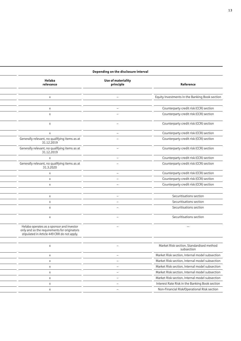| Depending on the disclosure interval |  |
|--------------------------------------|--|
|--------------------------------------|--|

| Helaba<br>relevance                                                                                                                      | Use of materiality<br>principle | Reference                                              |
|------------------------------------------------------------------------------------------------------------------------------------------|---------------------------------|--------------------------------------------------------|
|                                                                                                                                          |                                 |                                                        |
| $\times$                                                                                                                                 | $\overline{\phantom{m}}$        | Equity Investments in the Banking Book section         |
|                                                                                                                                          |                                 |                                                        |
| $\mathsf{X}$                                                                                                                             | $\overline{\phantom{m}}$        | Counterparty credit risk (CCR) section                 |
| $\times$                                                                                                                                 | $\overline{\phantom{m}}$        | Counterparty credit risk (CCR) section                 |
| $\times$                                                                                                                                 |                                 | Counterparty credit risk (CCR) section                 |
| $\times$                                                                                                                                 | $\qquad \qquad -$               | Counterparty credit risk (CCR) section                 |
| Generally relevant, no qualifying items as at<br>31.12.2019                                                                              |                                 | Counterparty credit risk (CCR) section                 |
| Generally relevant, no qualifying items as at<br>31.12.2019                                                                              | -                               | Counterparty credit risk (CCR) section                 |
| $\mathsf{x}$                                                                                                                             | $\overline{\phantom{0}}$        | Counterparty credit risk (CCR) section                 |
| Generally relevant, no qualifying items as at<br>31.3.2020                                                                               |                                 | Counterparty credit risk (CCR) section                 |
| $\times$                                                                                                                                 | $\overline{\phantom{a}}$        | Counterparty credit risk (CCR) section                 |
| $\mathsf{X}$                                                                                                                             | $\overline{\phantom{m}}$        | Counterparty credit risk (CCR) section                 |
| $\times$                                                                                                                                 | $\overline{\phantom{0}}$        | Counterparty credit risk (CCR) section                 |
|                                                                                                                                          |                                 |                                                        |
| $\mathsf{X}$                                                                                                                             | -                               | Securitisations section                                |
| $\mathsf{X}$                                                                                                                             | $\overline{\phantom{0}}$        | Securitisations section                                |
| $\times$                                                                                                                                 |                                 | Securitisations section                                |
| $\mathsf{x}$                                                                                                                             | $\overline{\phantom{0}}$        | Securitisations section                                |
| Helaba operates as a sponsor and investor<br>only and so the requirements for originators<br>stipulated in Article 449 CRR do not apply. | $\overline{\phantom{a}}$        | $\overline{\phantom{a}}$                               |
|                                                                                                                                          |                                 |                                                        |
| $\mathsf{X}$                                                                                                                             | $\overline{\phantom{0}}$        | Market Risk section, Standardised method<br>subsection |
| $\mathsf{X}$                                                                                                                             | $\overline{\phantom{a}}$        | Market Risk section, Internal model subsection         |
| $\mathsf{X}$                                                                                                                             | $\overline{\phantom{m}}$        | Market Risk section, Internal model subsection         |
| $\mathsf{X}$                                                                                                                             | $\overline{\phantom{a}}$        | Market Risk section, Internal model subsection         |
| $\mathsf{x}$                                                                                                                             | -                               | Market Risk section, Internal model subsection         |
| $\mathsf{X}$                                                                                                                             |                                 | Market Risk section, Internal model subsection         |
| $\mathsf{X}$                                                                                                                             | $\overline{\phantom{a}}$        | Interest Rate Risk in the Banking Book section         |
| $\mathsf{x}$                                                                                                                             |                                 | Non-Financial Risk/Operational Risk section            |
|                                                                                                                                          |                                 |                                                        |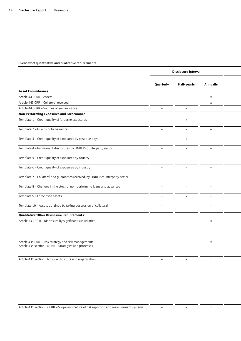|                                                                                                               |                          | Disclosure interval      |                          |  |
|---------------------------------------------------------------------------------------------------------------|--------------------------|--------------------------|--------------------------|--|
|                                                                                                               | Quarterly                | Half-yearly              | Annually                 |  |
| <b>Asset Encumbrance</b>                                                                                      |                          |                          |                          |  |
| Article 443 CRR - Assets                                                                                      | $ \,$                    | $\overline{\phantom{m}}$ | $\times$                 |  |
| Article 443 CRR - Collateral received                                                                         | $\qquad \qquad -$        | $\qquad \qquad -$        | $\times$                 |  |
| Article 443 CRR - Sources of encumbrance                                                                      | $\overline{\phantom{a}}$ | $\qquad \qquad -$        | $\times$                 |  |
| Non-Performing Exposures and Forbearance                                                                      |                          |                          |                          |  |
| Template 1 - Credit quality of forborne exposures                                                             | $\qquad \qquad -$        | $\times$                 | $\overline{\phantom{0}}$ |  |
| Template 2 - Quality of forbearance                                                                           | $\overline{\phantom{0}}$ | $\overline{\phantom{0}}$ | $\overline{\phantom{0}}$ |  |
| Template 3 - Credit quality of exposures by past due days                                                     | $\equiv$                 | $\mathsf{x}$             | $\equiv$                 |  |
| Template 4 - Impairment disclosures by FINREP counterparty sector                                             | $\equiv$                 | $\mathsf{x}$             | $\equiv$                 |  |
| Template 5 - Credit quality of exposures by country                                                           | $\overline{\phantom{0}}$ | $\overline{\phantom{0}}$ | $\overline{\phantom{a}}$ |  |
| Template 6 - Credit quality of exposures by industry                                                          | $\overline{\phantom{a}}$ | $\overline{\phantom{a}}$ | $\overline{\phantom{a}}$ |  |
| Template 7 - Collateral and guarantees received, by FINREP counterparty sector                                | $\overline{\phantom{0}}$ | $\overline{\phantom{0}}$ | $\overline{\phantom{a}}$ |  |
| Template 8 - Changes in the stock of non-performing loans and advances                                        | $\overline{\phantom{0}}$ | $\overline{\phantom{m}}$ | $\overline{\phantom{m}}$ |  |
| Template 9 - Foreclosed assets                                                                                | $\qquad \qquad -$        | $\times$                 | $\equiv$                 |  |
| Template 10 - Assets obtained by taking possession of collateral                                              |                          |                          |                          |  |
| Qualitative/Other Disclosure Requirements                                                                     |                          |                          |                          |  |
| Article 13 CRR II - Disclosure by significant subsidiaries                                                    |                          |                          | $\times$                 |  |
| Article 435 CRR - Risk strategy and risk management;<br>Article 435 section 1a CRR - Strategies and processes | $\overline{\phantom{0}}$ | $\overline{\phantom{m}}$ | $\mathsf{X}$             |  |

Article 435 section 1b CRR – Structure and organisation and the disclosures are included in the Annual XX and Annual XX and Annual XX and Annual XX and Annual XX and Annual XX and Annual XX and Annual XX and Annual XX and

Article 435 section 1c CRR – Scope and nature of risk reporting and measurement systems – Transmusseum – Transmusseum X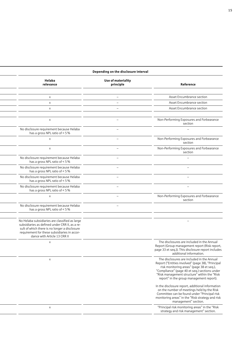#### **Depending on the disclosure interval**

| Helaba<br>relevance                                                                                                                                                                                                               | Use of materiality<br>principle | Reference                                                                                                                                                                                                                                                                                 |
|-----------------------------------------------------------------------------------------------------------------------------------------------------------------------------------------------------------------------------------|---------------------------------|-------------------------------------------------------------------------------------------------------------------------------------------------------------------------------------------------------------------------------------------------------------------------------------------|
|                                                                                                                                                                                                                                   |                                 |                                                                                                                                                                                                                                                                                           |
| $\times$                                                                                                                                                                                                                          |                                 | Asset Encumbrance section                                                                                                                                                                                                                                                                 |
| $\times$                                                                                                                                                                                                                          |                                 | Asset Encumbrance section                                                                                                                                                                                                                                                                 |
| $\times$                                                                                                                                                                                                                          |                                 | Asset Encumbrance section                                                                                                                                                                                                                                                                 |
|                                                                                                                                                                                                                                   |                                 |                                                                                                                                                                                                                                                                                           |
| $\times$                                                                                                                                                                                                                          |                                 | Non-Performing Exposures and Forbearance<br>section                                                                                                                                                                                                                                       |
| No disclosure requirement because Helaba<br>has a gross NPL ratio of < 5 %                                                                                                                                                        |                                 | $\overline{\phantom{0}}$                                                                                                                                                                                                                                                                  |
| $\times$                                                                                                                                                                                                                          |                                 | Non-Performing Exposures and Forbearance<br>section                                                                                                                                                                                                                                       |
| $\mathsf{X}$                                                                                                                                                                                                                      |                                 | Non-Performing Exposures and Forbearance<br>section                                                                                                                                                                                                                                       |
| No disclosure requirement because Helaba<br>has a gross NPL ratio of < 5 %                                                                                                                                                        |                                 |                                                                                                                                                                                                                                                                                           |
| No disclosure requirement because Helaba<br>has a gross NPL ratio of < 5 %                                                                                                                                                        |                                 |                                                                                                                                                                                                                                                                                           |
| No disclosure requirement because Helaba<br>has a gross NPL ratio of < 5 %                                                                                                                                                        |                                 | $\overline{\phantom{0}}$                                                                                                                                                                                                                                                                  |
| No disclosure requirement because Helaba<br>has a gross NPL ratio of < 5 %                                                                                                                                                        |                                 | $\overline{\phantom{0}}$                                                                                                                                                                                                                                                                  |
| $\mathsf{X}$                                                                                                                                                                                                                      |                                 | Non-Performing Exposures and Forbearance<br>section                                                                                                                                                                                                                                       |
| No disclosure requirement because Helaba<br>has a gross NPL ratio of < 5 %                                                                                                                                                        |                                 |                                                                                                                                                                                                                                                                                           |
|                                                                                                                                                                                                                                   |                                 |                                                                                                                                                                                                                                                                                           |
| No Helaba subsidiaries are classified as large<br>subsidiaries as defined under CRR II, as a re-<br>sult of which there is no longer a disclosure<br>requirement for these subsidiaries in accor-<br>dance with Article 13 CRR II |                                 |                                                                                                                                                                                                                                                                                           |
| $\times$                                                                                                                                                                                                                          |                                 | The disclosures are included in the Annual<br>Report (Group management report (Risk report,<br>page 33 et seq.)). This disclosure report includes<br>additional information.                                                                                                              |
| $\mathsf{X}$                                                                                                                                                                                                                      |                                 | The disclosures are included in the Annual<br>Report ("Entities involved" (page 38), "Principal<br>risk monitoring areas" (page 38 et seq.),<br>"Compliance" (page 40 et seq.) sections under<br>"Risk management structure" within the "Risk<br>report" in the group management report). |
|                                                                                                                                                                                                                                   |                                 | In the disclosure report, additional information<br>on the number of meetings held by the Risk<br>Committee can be found under "Principal risk<br>monitoring areas" in the "Risk strategy and risk<br>management" section.                                                                |
| $\times$                                                                                                                                                                                                                          |                                 | "Principal risk monitoring areas" in the "Risk<br>strategy and risk management" section.                                                                                                                                                                                                  |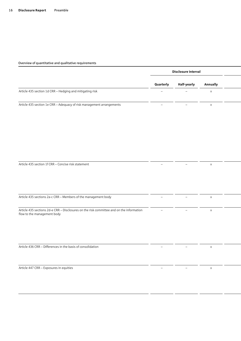|                                                                                                                         | Disclosure interval      |                          |              |  |
|-------------------------------------------------------------------------------------------------------------------------|--------------------------|--------------------------|--------------|--|
|                                                                                                                         | Quarterly                | Half-yearly              | Annually     |  |
| Article 435 section 1d CRR - Hedging and mitigating risk                                                                | $\overline{\phantom{0}}$ | $\overline{\phantom{0}}$ | $\mathsf{X}$ |  |
| Article 435 section 1e CRR - Adequacy of risk management arrangements                                                   | $\overline{\phantom{m}}$ |                          | $\mathsf{X}$ |  |
|                                                                                                                         |                          |                          |              |  |
| Article 435 section 1f CRR - Concise risk statement                                                                     | $\overline{\phantom{0}}$ | $-$                      | $\mathsf{X}$ |  |
| Article 435 sections 2a-c CRR - Members of the management body                                                          | $\qquad \qquad -$        | $\qquad \qquad -$        | $\mathsf{X}$ |  |
| Article 435 sections 2d-e CRR - Disclosures on the risk committee and on the information<br>flow to the management body |                          |                          | $\mathsf X$  |  |
| Article 436 CRR - Differences in the basis of consolidation                                                             | $\overline{\phantom{0}}$ | $\sim$                   | $\mathsf{X}$ |  |
| Article 447 CRR - Exposures in equities                                                                                 | $\sim$                   | $\overline{\phantom{m}}$ | $\mathsf{X}$ |  |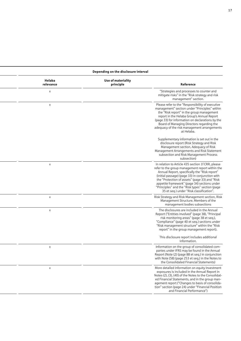#### **Disclosure interval Depending on the disclosure interval**

| Helaba<br>relevance | Use of materiality<br>principle | Reference                                                                                                                                                                                                                                                                                                                                                                                                 |
|---------------------|---------------------------------|-----------------------------------------------------------------------------------------------------------------------------------------------------------------------------------------------------------------------------------------------------------------------------------------------------------------------------------------------------------------------------------------------------------|
| $\times$            |                                 | "Strategies and processes to counter and<br>mitigate risks" in the "Risk strategy and risk<br>management" section.                                                                                                                                                                                                                                                                                        |
| $\times$            |                                 | Please refer to the "Responsibility of executive<br>management" section under "Principles" within<br>the "Risk report" in the group management<br>report in the Helaba Group's Annual Report<br>(page 33) for information on declarations by the<br>Board of Managing Directors regarding the<br>adequacy of the risk management arrangements<br>at Helaba.                                               |
|                     |                                 | Supplementary information is set out in the<br>disclosure report (Risk Strategy and Risk<br>Management section, Adequacy of Risk<br>Management Arrangements and Risk Statement<br>subsection and Risk Management Process<br>subsection)                                                                                                                                                                   |
| $\mathsf{X}$        |                                 | In relation to Article 435 section 1f CRR, please<br>refer to the group management report within the<br>Annual Report, specifically the "Risk report"<br>(initial passage) (page 33) in conjunction with<br>the "Protection of assets" (page 33) and "Risk<br>appetite framework" (page 34) sections under<br>"Principles" and the "Risk types" section (page<br>35 et seq.) under "Risk classification". |
| $\times$            |                                 | Risk Strategy and Risk Management section, Risk<br>Management Structure, Members of the<br>management bodies subsections                                                                                                                                                                                                                                                                                  |
| $\mathsf{X}$        |                                 | The disclosures are included in the Annual<br>Report ("Entities involved" (page 38), "Principal<br>risk monitoring areas" (page 38 et seq.),<br>"Compliance" (page 40 et seq.) sections under<br>"Risk management structure" within the "Risk<br>report" in the group management report).                                                                                                                 |
|                     |                                 | This disclosure report includes additional<br>information.                                                                                                                                                                                                                                                                                                                                                |
| $\mathsf{X}$        |                                 | Information on the group of consolidated com-<br>panies under IFRS may be found in the Annual<br>Report (Note (2) (page 88 et seq.) in conjunction<br>with Note (58) (page 253 et seq.) in the Notes to<br>the Consolidated Financial Statements)                                                                                                                                                         |
| $\times$            |                                 | More detailed information on equity investment<br>exposures is included in the Annual Report in<br>Notes (2), (3), (40) of the Notes to the Consolidat<br>ed Financial Statements, and in the group man-<br>agement report ("Changes to basis of consolida-<br>tion" section (page 24) under "Financial Position<br>and Financial Performance")                                                           |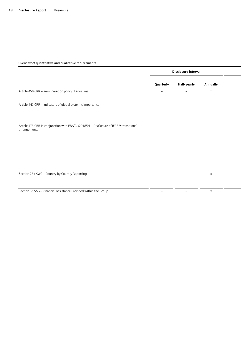|                                                                                                        |                          | Disclosure interval      |                 |  |
|--------------------------------------------------------------------------------------------------------|--------------------------|--------------------------|-----------------|--|
|                                                                                                        | Quarterly                | Half-yearly              | <b>Annually</b> |  |
| Article 450 CRR - Remuneration policy disclosures                                                      | $\overline{\phantom{0}}$ | $\qquad \qquad -$        | $\mathsf{X}$    |  |
| Article 441 CRR - Indicators of global systemic importance                                             |                          |                          |                 |  |
| Article 473 CRR in conjunction with EBA/GL/2018/01 - Disclosure of IFRS 9 transitional<br>arrangements |                          |                          |                 |  |
|                                                                                                        |                          |                          |                 |  |
| Section 26a KWG - Country by Country Reporting                                                         | $-$                      | $\overline{\phantom{m}}$ | $\times$        |  |
| Section 35 SAG - Financial Assistance Provided Within the Group                                        | $\overline{\phantom{a}}$ | $\overline{\phantom{m}}$ | $\times$        |  |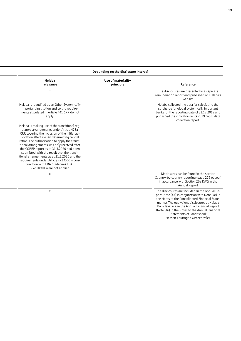| Depending on the disclosure interval                                                                                                                                                                                                                                                                                                                                                                                                                                                                                                                   |                                 |                                                                                                                                                                                                                                                                                                                                                                         |  |  |
|--------------------------------------------------------------------------------------------------------------------------------------------------------------------------------------------------------------------------------------------------------------------------------------------------------------------------------------------------------------------------------------------------------------------------------------------------------------------------------------------------------------------------------------------------------|---------------------------------|-------------------------------------------------------------------------------------------------------------------------------------------------------------------------------------------------------------------------------------------------------------------------------------------------------------------------------------------------------------------------|--|--|
| Helaba<br>relevance                                                                                                                                                                                                                                                                                                                                                                                                                                                                                                                                    | Use of materiality<br>principle | Reference                                                                                                                                                                                                                                                                                                                                                               |  |  |
| $\times$                                                                                                                                                                                                                                                                                                                                                                                                                                                                                                                                               |                                 | The disclosures are presented in a separate<br>remuneration report and published on Helaba's<br>website                                                                                                                                                                                                                                                                 |  |  |
| Helaba is identified as an Other Systemically<br>Important Institution and so the require-<br>ments stipulated in Article 441 CRR do not<br>apply.                                                                                                                                                                                                                                                                                                                                                                                                     |                                 | Helaba collected the data for calculating the<br>surcharge for global systemically important<br>banks for the reporting date of 31.12.2019 and<br>published the indicators in its 2019 G-SIB data<br>collection report.                                                                                                                                                 |  |  |
| Helaba is making use of the transitional reg-<br>ulatory arrangements under Article 473a<br>CRR covering the inclusion of the initial ap-<br>plication effects when determining capital<br>ratios. The authorisation to apply the transi-<br>tional arrangements was only received after<br>the COREP report as at 31.3.2020 had been<br>submitted, with the result that the transi-<br>tional arrangements as at 31.3.2020 and the<br>requirements under Article 473 CRR in con-<br>junction with EBA guidelines EBA/<br>GL/2018/01 were not applied. |                                 |                                                                                                                                                                                                                                                                                                                                                                         |  |  |
| $\mathsf{x}$                                                                                                                                                                                                                                                                                                                                                                                                                                                                                                                                           |                                 | Disclosures can be found in the section<br>Country-by-country reporting (page 272 et seq.)<br>in accordance with Section 26a KWG in the<br>Annual Report                                                                                                                                                                                                                |  |  |
| $\mathsf{x}$                                                                                                                                                                                                                                                                                                                                                                                                                                                                                                                                           |                                 | The disclosures are included in the Annual Re-<br>port (Note (47) in conjunction with Note (48) in<br>the Notes to the Consolidated Financial State-<br>ments). The equivalent disclosures at Helaba<br>Bank level are in the Annual Financial Report<br>(Note (46) in the Notes to the Annual Financial<br>Statements of Landesbank<br>Hessen-Thüringen Girozentrale). |  |  |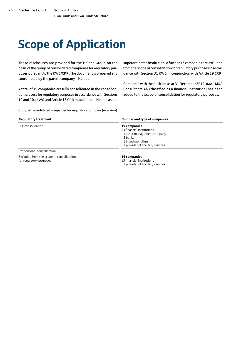# <span id="page-21-0"></span>Scope of Application

These disclosures are provided for the Helaba Group on the basis of the group of consolidated companies for regulatory purposes pursuant to the KWG/CRR. The document is prepared and coordinated by the parent company – Helaba.

A total of 19 companies are fully consolidated in the consolidation process for regulatory purposes in accordance with Sections 10 and 10a KWG and Article 18 CRR in addition to Helaba as the superordinated institution. A further 16 companies are excluded from the scope of consolidation for regulatory purposes in accordance with Section 31 KWG in conjunction with Article 19 CRR.

Compared with the position as at 31 December 2019, IMAP M&A Consultants AG (classified as a financial institution) has been added to the scope of consolidation for regulatory purposes.

Group of consolidated companies for regulatory purposes (overview)

| <b>Regulatory treatment</b>                                         | Number and type of companies                                                                                                                |
|---------------------------------------------------------------------|---------------------------------------------------------------------------------------------------------------------------------------------|
| Full consolidation                                                  | 19 companies<br>13 financial institutions<br>1 asset management company<br>3 banks<br>1 investment firm<br>1 provider of ancillary services |
| Proportional consolidation                                          |                                                                                                                                             |
| Excluded from the scope of consolidation<br>for regulatory purposes | 16 companies<br>15 financial institutions<br>1 provider of ancillary services                                                               |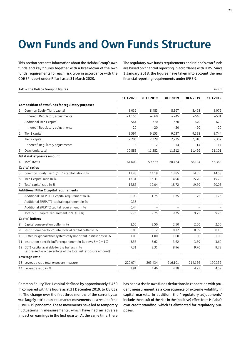# <span id="page-22-0"></span>Own Funds and Own Funds Structure

This section presents information about the Helaba Group's own funds and key figures together with a breakdown of the own funds requirements for each risk type in accordance with the COREP report under Pillar I as at 31 March 2020.

The regulatory own funds requirements and Helaba's own funds are based on financial reporting in accordance with IFRS. Since 1 January 2018, the figures have taken into account the new financial reporting requirements under IFRS 9.

|   | KM1 - The Helaba Group in figures                                                                               |           |            |           |           | in $\epsilon$ m |
|---|-----------------------------------------------------------------------------------------------------------------|-----------|------------|-----------|-----------|-----------------|
|   |                                                                                                                 | 31.3.2020 | 31.12.2019 | 30.9.2019 | 30.6.2019 | 31.3.2019       |
|   | <b>Composition of own funds for regulatory purposes</b>                                                         |           |            |           |           |                 |
| 1 | Common Equity Tier 1 capital                                                                                    | 8,032     | 8,483      | 8.367     | 8.468     | 8,075           |
|   | thereof: Regulatory adjustments                                                                                 | $-1,156$  | $-660$     | $-745$    | $-646$    | $-581$          |
|   | Additional Tier 1 capital                                                                                       | 564       | 670        | 670       | 670       | 670             |
|   | thereof: Regulatory adjustments                                                                                 | $-20$     | $-20$      | $-20$     | $-20$     | $-20$           |
| 2 | Tier 1 capital                                                                                                  | 8,597     | 9,153      | 9,037     | 9,138     | 8,744           |
|   | Tier 2 capital                                                                                                  | 2,286     | 2,229      | 2,275     | 2,318     | 2,357           |
|   | thereof: Regulatory adjustments                                                                                 | $-8$      | $-12$      | $-14$     | $-14$     | $-14$           |
| 3 | Own funds, total                                                                                                | 10,883    | 11,382     | 11,312    | 11,456    | 11,101          |
|   | Total risk exposure amount                                                                                      |           |            |           |           |                 |
| 4 | <b>Total RWAs</b>                                                                                               | 64.608    | 59,779     | 60,424    | 58,194    | 55,363          |
|   | <b>Capital ratios</b>                                                                                           |           |            |           |           |                 |
| 5 | Common Equity Tier 1 (CET1) capital ratio in %                                                                  | 12.43     | 14.19      | 13.85     | 14.55     | 14.58           |
| 6 | Tier 1 capital ratio in %                                                                                       | 13.31     | 15.31      | 14.96     | 15.70     | 15.79           |
| 7 | Total capital ratio in %                                                                                        | 16.85     | 19.04      | 18.72     | 19.69     | 20.05           |
|   | Additional Pillar 2 capital requirements                                                                        |           |            |           |           |                 |
|   | Additional SREP CET1 capital requirement in %                                                                   | 0.98      | 1.75       | 1.75      | 1.75      | 1.75            |
|   | Additional SREP AT1 capital requirement in %                                                                    | 0.33      |            |           |           |                 |
|   | Additional SREP T2 capital requirement in %                                                                     | 0.44      |            |           |           |                 |
|   | Total SREP capital requirement in % (TSCR)                                                                      | 9.75      | 9.75       | 9.75      | 9.75      | 9.75            |
|   | <b>Capital buffers</b>                                                                                          |           |            |           |           |                 |
| 8 | Capital conservation buffer in %                                                                                | 2.50      | 2.50       | 2.50      | 2.50      | 2.50            |
| 9 | Institution-specific countercyclical capital buffer in %                                                        | 0.05      | 0.12       | 0.12      | 0.09      | 0.10            |
|   | 10 Buffer for global/other systemically important institutions in %                                             | 1.00      | 1.00       | 1.00      | 1.00      | 1.00            |
|   | 11 Institution-specific buffer requirement in % (rows $8 + 9 + 10$ )                                            | 3.55      | 3.62       | 3.62      | 3.59      | 3.60            |
|   | 12 CET1 capital available for the buffers in %<br>(expressed as a percentage of the total risk exposure amount) | 7.31      | 9.31       | 8.96      | 9.70      | 9.79            |
|   | Leverage ratio                                                                                                  |           |            |           |           |                 |
|   | 13 Leverage ratio total exposure measure                                                                        | 220,074   | 205,434    | 216,101   | 214,156   | 190,352         |
|   | 14 Leverage ratio in %                                                                                          | 3.91      | 4.46       | 4.18      | 4.27      | 4.59            |

Common Equity Tier 1 capital declined by approximately € 450 m compared with the figure as at 31 December 2019, to € 8,032 m. The change over the first three months of the current year was largely attributable to market movements as a result of the COVID-19 pandemic. These movements have led to temporary fluctuations in measurements, which have had an adverse impact on earnings in the first quarter. At the same time, there

has been a rise in own funds deductions in connection with prudent measurement as a consequence of extreme volatility in capital markets. In addition, the "regulatory adjustments" include the result of the rise in the (positive) effect from Helaba's own credit standing, which is eliminated for regulatory purposes.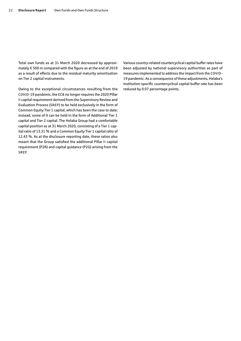Total own funds as at 31 March 2020 decreased by approximately € 500 m compared with the figure as at the end of 2019 as a result of effects due to the residual maturity amortisation on Tier 2 capital instruments.

Owing to the exceptional circumstances resulting from the COVID-19 pandemic, the ECB no longer requires the 2020 Pillar II capital requirement derived from the Supervisory Review and Evaluation Process (SREP) to be held exclusively in the form of Common Equity Tier 1 capital, which has been the case to date; instead, some of it can be held in the form of Additional Tier 1 capital and Tier 2 capital. The Helaba Group had a comfortable capital position as at 31 March 2020, consisting of a Tier 1 capital ratio of 13.31 % and a Common Equity Tier 1 capital ratio of 12.43 %. As at the disclosure reporting date, these ratios also meant that the Group satisfied the additional Pillar II capital requirement (P2R) and capital guidance (P2G) arising from the SREP.

Various country-related countercyclical capital buffer rates have been adjusted by national supervisory authorities as part of measures implemented to address the impact from the COVID-19 pandemic. As a consequence of these adjustments, Helaba's institution-specific countercyclical capital buffer rate has been reduced by 0.07 percentage points.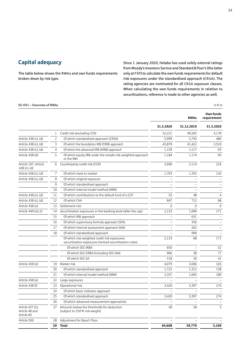### <span id="page-24-0"></span>Capital adequacy

The table below shows the RWAs and own funds requirements broken down by risk type.

Since 1 January 2020, Helaba has used solely external ratings from Moody's Investors Service and Standard&Poor's (the latter only at FSP) to calculate the own funds requirements for default risk exposures under the standardised approach (CRSA). The rating agencies are nominated for all CRSA exposure classes. When calculating the own funds requirements in relation to securitisations, reference is made to other agencies as well.

#### EU OV1 – Overview of RWAs in  $\epsilon$  m

|                                                  |                |                                                                                                          |           | <b>RWAs</b> | Own funds<br>requirement |
|--------------------------------------------------|----------------|----------------------------------------------------------------------------------------------------------|-----------|-------------|--------------------------|
|                                                  |                |                                                                                                          | 31.3.2020 | 31.12.2019  | 31.3.2020                |
|                                                  |                | 1 Credit risk (excluding CCR)                                                                            | 52,221    | 49,505      | 4,178                    |
| Article 438 (c), (d)                             | $\overline{2}$ | Of which standardised approach (CRSA)                                                                    | 5,999     | 5,793       | 480                      |
| Article 438 (c), (d)                             | 3              | Of which the foundation IRB (FIRB) approach                                                              | 43,879    | 41,422      | 3,510                    |
| Article 438 (c), (d)                             | 4              | Of which the advanced IRB (AIRB) approach                                                                | 1,159     | 1,117       | 93                       |
| Article 438 (d)                                  | 5              | Of which equity IRB under the simple risk-weighted approach<br>or the IMA                                | 1,184     | 1,174       | 95                       |
| Article 107, Article<br>438 (c), (d)             | 6              | Counterparty credit risk (CCR)                                                                           | 2,696     | 2,114       | 216                      |
| Article 438 (c), (d)                             | $\overline{7}$ | Of which mark to market                                                                                  | 1,793     | 1,355       | 143                      |
| Article 438 (c), (d)                             | 8              | Of which original exposure                                                                               |           |             |                          |
|                                                  | 9              | Of which standardised approach                                                                           |           |             |                          |
|                                                  | 10             | Of which internal model method (IMM)                                                                     |           |             |                          |
| Article 438 (c), (d)                             | 11             | Of which contributions to the default fund of a CCP                                                      | 55        | 48          | $\overline{4}$           |
| Article 438 (c), (d)                             | 12             | Of which CVA                                                                                             | 847       | 712         | 68                       |
| Article 438 (e)                                  | 13             | Settlement risk                                                                                          | $\Omega$  | $\Omega$    | $\overline{0}$           |
| Article 449 (o), (i)                             | 14             | Securitisation exposures in the banking book (after the cap)                                             | 2,133     | 1,699       | 171                      |
|                                                  | 15             | Of which IRB approach                                                                                    |           | 631         | $\overline{\phantom{m}}$ |
|                                                  | 16             | Of which supervisory formula approach (SFA)                                                              |           | 356         |                          |
|                                                  | 17             | Of which internal assessment approach (IAA)                                                              |           | 262         |                          |
|                                                  | 18             | Of which standardised approach                                                                           |           | 999         |                          |
|                                                  |                | Of which risk-weighted credit risk exposures:<br>securitisation exposures (revised securitisation rules) | 2,133     | 68          | 171                      |
|                                                  |                | Of which SEC-IRBA                                                                                        | 650       |             | 52                       |
|                                                  |                | Of which SEC-ERBA (including SEC-IAA)                                                                    | 966       | 38          | 77                       |
|                                                  |                | Of which SEC-SA                                                                                          | 518       | 30          | 41                       |
| Article 438 (e)                                  | 19             | Market risk                                                                                              | 4,079     | 3,006       | 326                      |
|                                                  | 20             | Of which standardised approach                                                                           | 1,722     | 1,312       | 138                      |
|                                                  | 21             | Of which internal model method (IMM)                                                                     | 2,357     | 1,694       | 189                      |
| Article 438 (e)                                  | 22             | Large exposures                                                                                          |           |             |                          |
| Article 438 (f)                                  | 23             | Operational risk                                                                                         | 3,420     | 3,397       | 274                      |
|                                                  | 24             | Of which basic indicator approach                                                                        |           |             |                          |
|                                                  | 25             | Of which standardised approach                                                                           | 3,420     | 3,397       | 274                      |
|                                                  | 26             | Of which advanced measurement approaches                                                                 |           |             |                          |
| Article 437 (2),<br>Article 48 and<br>Article 60 | 27             | Amounts below the thresholds for deduction<br>(subject to 250 % risk weight)                             | 58        | 58          | 5                        |
| Article 500                                      | 28             | Adjustment for Basel I floor                                                                             |           |             |                          |
|                                                  | 29             | <b>Total</b>                                                                                             | 64,608    | 59,779      | 5,169                    |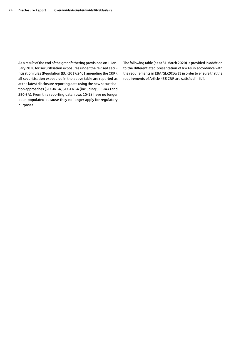As a result of the end of the grandfathering provisions on 1 January 2020 for securitisation exposures under the revised securitisation rules (Regulation (EU) 2017/2401 amending the CRR), all securitisation exposures in the above table are reported as at the latest disclosure reporting date using the new securitisation approaches (SEC-IRBA, SEC-ERBA (including SEC-IAA) and SEC-SA). From this reporting date, rows 15-18 have no longer been populated because they no longer apply for regulatory purposes.

The following table (as at 31 March 2020) is provided in addition to the differentiated presentation of RWAs in accordance with the requirements in EBA/GL/2016/11 in order to ensure that the requirements of Article 438 CRR are satisfied in full.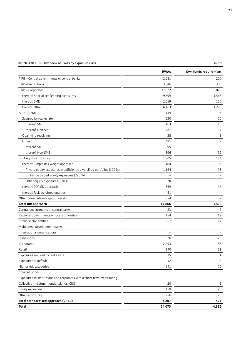#### Article 438 CRR – Overview of RWAs by exposure class

| ×<br>۰, |  |
|---------|--|
|         |  |
|         |  |

|                                                                          | <b>RWAs</b>  | Own funds requirement |
|--------------------------------------------------------------------------|--------------|-----------------------|
| FIRB - Central governments or central banks                              | 2,581        | 206                   |
| FIRB - Institutions                                                      | 3,846        | 308                   |
| FIRB - Corporates                                                        | 37,822       | 3,026                 |
| thereof: Specialised lending exposures                                   | 19,599       | 1,568                 |
| thereof: SME                                                             | 2,059        | 165                   |
| thereof: Other                                                           | 16,163       | 1,293                 |
| AIRB - Retail                                                            | 1,159        | 93                    |
| Secured by real estate                                                   | 630          | 50                    |
| thereof: SME                                                             | 163          | 13                    |
| thereof: Non-SME                                                         | 467          | 37                    |
| Qualifying revolving                                                     | 38           | 3                     |
| Other                                                                    | 491          | 39                    |
| thereof: SME                                                             | 95           | 8                     |
| thereof: Non-SME                                                         | 396          | 32                    |
| IRBA equity exposures                                                    | 1,805        | 144                   |
| thereof: Simple risk-weight approach                                     | 1,184        | 95                    |
| Private equity exposures in sufficiently diversified portfolios (190 %)  | 1,164        | 93                    |
| Exchange traded equity exposures (290 %)                                 |              |                       |
| Other equity exposures (370 %)                                           | 20           | $\overline{2}$        |
| thereof: PD/LGD approach                                                 | 569          | 46                    |
| thereof: Risk-weighted equities                                          | 51           | $\overline{4}$        |
| Other non-credit-obligation assets                                       | 654          | 52                    |
| <b>Total IRB approach</b>                                                | 47,866       | 3,829                 |
| Central governments or central banks                                     | 23           | $\overline{2}$        |
| Regional governments or local authorities                                | 154          | 12                    |
| Public-sector entities                                                   | 217          | 17                    |
| Multilateral development banks                                           |              |                       |
| International organisations                                              |              |                       |
| Institutions                                                             | 326          | 26                    |
| Corporates                                                               | 2,293        | 183                   |
| Retail                                                                   | 140          | 11                    |
| Exposures secured by real estate                                         | 635          | 51                    |
| Exposures in default                                                     | 42           | 3                     |
| Higher risk categories                                                   | 941          | 75                    |
| Covered bonds                                                            | $\mathbf{1}$ | 0                     |
| Exposures to institutions and corporates with a short-term credit rating |              |                       |
| Collective investment undertakings (CIU)                                 | 20           | $\overline{2}$        |
| Equity exposures                                                         | 1,159        | 93                    |
| Other exposures                                                          | 256          | 20                    |
| <b>Total standardised approach (CRSA)</b>                                | 6,207        | 497                   |
| Total                                                                    | 54,073       | 4,326                 |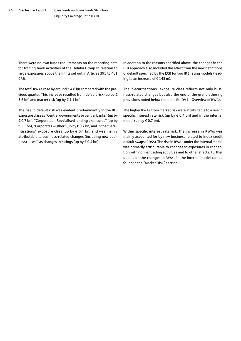There were no own funds requirements on the reporting date for trading book activities of the Helaba Group in relation to large exposures above the limits set out in Articles 395 to 401 CRR.

The total RWAs rose by around  $\epsilon$  4.8 bn compared with the previous quarter. This increase resulted from default risk (up by € 3.6 bn) and market risk (up by  $\in$  1.1 bn).

The rise in default risk was evident predominantly in the IRB exposure classes "Central governments or central banks" (up by € 0.7 bn), "Corporates – Specialised lending exposures" (up by € 1.1 bn), "Corporates – Other" (up by € 0.7 bn) and in the "Securitisations" exposure class (up by  $\epsilon$  0.4 bn) and was mainly attributable to business-related changes (including new business) as well as changes in ratings (up by  $\epsilon$  0.4 bn).

In addition to the reasons specified above, the changes in the IRB approach also included the effect from the new definitions of default specified by the ECB for two IRB rating models (leading to an increase of  $\epsilon$  145 m).

The "Securitisations" exposure class reflects not only business-related changes but also the end of the grandfathering provisions noted below the table EU OV1 – Overview of RWAs.

The higher RWAs from market risk were attributable to a rise in specific interest rate risk (up by  $\epsilon$  0.4 bn) and in the internal model (up by  $\notin$  0.7 bn).

Within specific interest rate risk, the increase in RWAs was mainly accounted for by new business related to index credit default swaps (CDSs). The rise in RWAs under the internal model was primarily attributable to changes in exposures in connection with normal trading activities and to other effects. Further details on the changes in RWAs in the internal model can be found in the "Market Risk" section.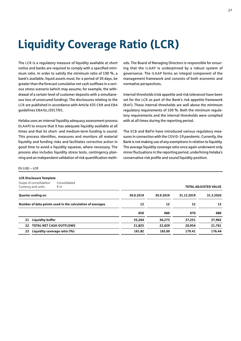# <span id="page-28-0"></span>Liquidity Coverage Ratio (LCR)

The LCR is a regulatory measure of liquidity available at short notice and banks are required to comply with a specified minimum ratio. In order to satisfy the minimum ratio of 100 %, a bank's available, liquid assets must, for a period of 30 days, be greater than the forecast cumulative net cash outflows in a serious stress scenario (which may assume, for example, the withdrawal of a certain level of customer deposits with a simultaneous loss of unsecured funding). The disclosures relating to the LCR are published in accordance with Article 435 CRR and EBA guidelines EBA/GL/2017/01.

Helaba uses an internal liquidity adequacy assessment process (ILAAP) to ensure that it has adequate liquidity available at all times and that its short- and medium-term funding is sound. This process identifies, measures and monitors all material liquidity and funding risks and facilitates corrective action in good time to avoid a liquidity squeeze, where necessary. The process also includes liquidity stress tests, contingency planning and an independent validation of risk quantification methods. The Board of Managing Directors is responsible for ensuring that the ILAAP is underpinned by a robust system of governance. The ILAAP forms an integral component of the management framework and consists of both economic and normative perspectives.

Internal thresholds (risk appetite and risk tolerance) have been set for the LCR as part of the Bank's risk appetite framework (RAF). These internal thresholds are well above the minimum regulatory requirements of 100 %. Both the minimum regulatory requirements and the internal thresholds were complied with at all times during the reporting period.

The ECB and BaFin have introduced various regulatory measures in connection with the COVID-19 pandemic. Currently, the Bank is not making use of any exemptions in relation to liquidity. The average liquidity coverage ratio once again underwent only minor fluctuations in the reporting period, underlining Helaba's conservative risk profile and sound liquidity position.

#### EU LIQ1 – LCR

| <b>LCR Disclosure Template</b>                                     |           |           |            |                             |
|--------------------------------------------------------------------|-----------|-----------|------------|-----------------------------|
| Scope of consolidation<br>Consolidated<br>Currency and units<br>€m |           |           |            | <b>TOTAL ADJUSTED VALUE</b> |
| Quarter ending on                                                  | 30.6.2019 | 30.9.2019 | 31.12.2019 | 31.3.2020                   |
| Number of data points used in the calculation of averages          | 12        | 12        | 12         | 12                          |
|                                                                    | 050       | 060       | 070        | 080                         |
| <b>Liquidity buffer</b><br>21                                      | 35,204    | 36,273    | 37,251     | 37,962                      |
| <b>TOTAL NET CASH OUTFLOWS</b><br>22                               | 21,825    | 22,029    | 20,954     | 21,761                      |
| Liquidity coverage ratio (%)<br>23                                 | 161.82    | 165.00    | 179.41     | 176.44                      |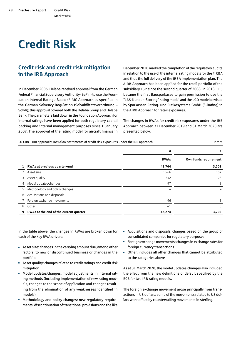### Market Risk

# <span id="page-29-0"></span>Credit Risk

### Credit risk and credit risk mitigation in the IRB Approach

In December 2006, Helaba received approval from the German Federal Financial Supervisory Authority (BaFin) to use the Foundation Internal Ratings-Based (FIRB) Approach as specified in the German Solvency Regulation (Solvabilitätsverordnung – SolvV); this approval covered both the Helaba Group and Helaba Bank. The parameters laid down in the Foundation Approach for internal ratings have been applied for both regulatory capital backing and internal management purposes since 1 January 2007. The approval of the rating model for aircraft finance in December 2010 marked the completion of the regulatory audits in relation to the use of the internal rating models for the FIRBA and thus the full delivery of the IRBA implementation plan. The AIRB Approach has been applied for the retail portfolio of the subsidiary FSP since the second quarter of 2008. In 2013, LBS became the first Bausparkasse to gain permission to use the "LBS-Kunden-Scoring" rating model and the LGD model devised by Sparkassen Rating- und Risikosysteme GmbH (S-Rating) in the AIRB Approach for retail exposures.

The changes in RWAs for credit risk exposures under the IRB Approach between 31 December 2019 and 31 March 2020 are presented below.

| EU CR8 – IRB approach: RWA flow statements of credit risk exposures under the IRB approach | in $\epsilon$ m |
|--------------------------------------------------------------------------------------------|-----------------|
|                                                                                            |                 |

|              |                                        | a           | b                     |
|--------------|----------------------------------------|-------------|-----------------------|
|              |                                        | <b>RWAs</b> | Own funds requirement |
|              | RWAs at previous quarter-end           | 43,764      | 3,501                 |
| $\mathbf{2}$ | Asset size                             | 1,966       | 157                   |
| 3.           | Asset quality                          | 352         | 28                    |
| 4            | Model updates/changes                  | 97          | 8                     |
| 5            | Methodology and policy changes         |             |                       |
| 6            | Acquisitions and disposals             |             |                       |
|              | Foreign exchange movements             | 96          | 8                     |
| 8            | Other                                  | $-1$        | $\Omega$              |
| 9            | RWAs at the end of the current quarter | 46,274      | 3,702                 |

In the table above, the changes in RWAs are broken down for each of the key RWA drivers:

- Asset size: changes in the carrying amount due, among other factors, to new or discontinued business or changes in the portfolio
- Asset quality: changes related to credit ratings and credit risk mitigation
- Model updates/changes: model adjustments in internal rating methods (including implementation of new rating models, changes to the scope of application and changes resulting from the elimination of any weaknesses identified in models)
- Methodology and policy changes: new regulatory requirements, discontinuation of transitional provisions and the like
- Acquisitions and disposals: changes based on the group of consolidated companies for regulatory purposes
- Foreign exchange movements: changes in exchange rates for foreign currency transactions
- Other: includes all other changes that cannot be attributed to the categories above

As at 31 March 2020, the model updates/changes also included the effect from the new definitions of default specified by the ECB for two IRB rating models.

The foreign exchange movement arose principally from transactions in US dollars; some of the movements related to US dollars were offset by countervailing movements in sterling.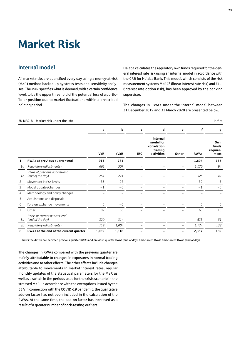# <span id="page-30-0"></span>Market Risk

### Internal model

All market risks are quantified every day using a money-at-risk (MaR) method backed up by stress tests and sensitivity analyses. The MaR specifies what is deemed, with a certain confidence level, to be the upper threshold of the potential loss of a portfolio or position due to market fluctuations within a prescribed holding period.

Helaba calculates the regulatory own funds required for the general interest rate risk using an internal model in accordance with the CRR for Helaba Bank. This model, which consists of the risk measurement systems MaRC² (linear interest rate risk) and ELLI (interest rate option risk), has been approved by the banking supervisor.

The changes in RWAs under the internal model between 31 December 2019 and 31 March 2020 are presented below.

#### EU MR2-B – Market risk under the IMA in  $\epsilon$  m

|    |                                                  | a          | b           | C          | d                                                             | e     | f            | g                                |
|----|--------------------------------------------------|------------|-------------|------------|---------------------------------------------------------------|-------|--------------|----------------------------------|
|    |                                                  | <b>VaR</b> | <b>sVaR</b> | <b>IRC</b> | Internal<br>model for<br>correlation<br>trading<br>activities | Other | <b>RWAs</b>  | Own<br>funds<br>require-<br>ment |
| 1  | RWAs at previous quarter-end                     | 913        | 781         |            |                                                               |       | 1,694        | 136                              |
| 1a | Regulatory adjustments <sup>1)</sup>             | 662        | 507         |            |                                                               |       | 1,170        | 94                               |
| 1b | RWAs at previous quarter-end<br>(end of the day) | 251        | 274         |            |                                                               |       | 525          | 42                               |
| 2  | Movement in risk levels                          | $-33$      | $-26$       |            |                                                               |       | $-59$        | $-5$                             |
| 3  | Model updates/changes                            | $-1$       | $-0$        |            |                                                               |       | $-1$         | $-0$                             |
| 4  | Methodology and policy changes                   |            |             |            |                                                               |       |              |                                  |
| 5  | Acquisitions and disposals                       |            |             |            |                                                               |       |              |                                  |
| 6  | Foreign exchange movements                       | 0          | $-0$        |            |                                                               |       | <sup>0</sup> | $\Omega$                         |
| 7  | Other                                            | 102        | 66          |            |                                                               |       | 168          | 13                               |
| 8а | RWAs at current quarter-end<br>(end of the day)  | 320        | 314         |            |                                                               |       | 633          | 51                               |
| 8b | Regulatory adjustments <sup>1)</sup>             | 719        | 1,004       |            |                                                               |       | 1,724        | 138                              |
| 8  | RWAs at the end of the current quarter           | 1,039      | 1,318       |            |                                                               |       | 2,357        | 189                              |

<sup>1)</sup> Shows the difference between previous quarter RWAs and previous quarter RWAs (end of day), and current RWAs and current RWAs (end of day).

The changes in RWAs compared with the previous quarter are mainly attributable to changes in exposures in normal trading activities and to other effects. The other effects include changes attributable to movements in market interest rates, regular monthly updates of the statistical parameters for the MaR as well as a switch in the periods used for the crisis scenario in the stressed MaR. In accordance with the exemptions issued by the EBA in connection with the COVID-19 pandemic, the qualitative add-on factor has not been included in the calculation of the RWAs. At the same time, the add-on factor has increased as a result of a greater number of back-testing outliers.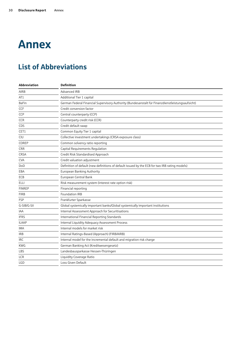# <span id="page-31-0"></span>Annex

## List of Abbreviations

| Abbreviation  | <b>Definition</b>                                                                                |
|---------------|--------------------------------------------------------------------------------------------------|
| <b>AIRB</b>   | Advanced IRB                                                                                     |
| AT1           | Additional Tier 1 capital                                                                        |
| <b>BaFin</b>  | German Federal Financial Supervisory Authority (Bundesanstalt für Finanzdienstleistungsaufsicht) |
| <b>CCF</b>    | Credit conversion factor                                                                         |
| CCP           | Central counterparty (CCP)                                                                       |
| <b>CCR</b>    | Counterparty credit risk (CCR)                                                                   |
| CDS           | Credit default swap                                                                              |
| CET1          | Common Equity Tier 1 capital                                                                     |
| CIU           | Collective investment undertakings (CRSA exposure class)                                         |
| COREP         | Common solvency ratio reporting                                                                  |
| <b>CRR</b>    | Capital Requirements Regulation                                                                  |
| CRSA          | Credit Risk Standardised Approach                                                                |
| <b>CVA</b>    | Credit valuation adjustment                                                                      |
| DoD           | Definition of default (new definitions of default issued by the ECB for two IRB rating models)   |
| EBA           | European Banking Authority                                                                       |
| ECB           | European Central Bank                                                                            |
| <b>ELLI</b>   | Risk measurement system (interest rate option risk)                                              |
| <b>FINREP</b> | Financial reporting                                                                              |
| <b>FIRB</b>   | Foundation IRB                                                                                   |
| <b>FSP</b>    | Frankfurter Sparkasse                                                                            |
| G-SIB/G-SII   | Global systemically important banks/Global systemically important institutions                   |
| <b>IAA</b>    | Internal Assessment Approach for Securitisations                                                 |
| <b>IFRS</b>   | International Financial Reporting Standards                                                      |
| <b>ILAAP</b>  | Internal Liquidity Adequacy Assessment Process                                                   |
| IMA           | Internal models for market risk                                                                  |
| <b>IRB</b>    | Internal Ratings-Based (Approach) (FIRB/AIRB)                                                    |
| <b>IRC</b>    | Internal model for the incremental default and migration risk charge                             |
| <b>KWG</b>    | German Banking Act (Kreditwesengesetz)                                                           |
| LBS           | Landesbausparkasse Hessen-Thüringen                                                              |
| <b>LCR</b>    | Liquidity Coverage Ratio                                                                         |
| <b>LGD</b>    | Loss Given Default                                                                               |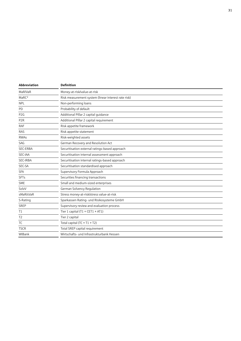| Abbreviation      | <b>Definition</b>                                   |
|-------------------|-----------------------------------------------------|
| MaR/VaR           | Money-at-risk/value-at-risk                         |
| MaRC <sup>2</sup> | Risk measurement system (linear interest rate risk) |
| <b>NPL</b>        | Non-performing loans                                |
| PD                | Probability of default                              |
| P <sub>2</sub> G  | Additional Pillar 2 capital quidance                |
| P <sub>2R</sub>   | Additional Pillar 2 capital requirement             |
| <b>RAF</b>        | Risk appetite framework                             |
| <b>RAS</b>        | Risk appetite statement                             |
| <b>RWAs</b>       | Risk-weighted assets                                |
| SAG               | German Recovery and Resolution Act                  |
| SEC-ERBA          | Securitisation external ratings-based approach      |
| SEC-IAA           | Securitisation internal assessment approach         |
| SEC-IRBA          | Securitisation internal ratings-based approach      |
| SEC-SA            | Securitisation standardised approach                |
| <b>SFA</b>        | Supervisory Formula Approach                        |
| <b>SFTs</b>       | Securities financing transactions                   |
| <b>SME</b>        | Small and medium-sized enterprises                  |
| SolvV             | German Solvency Regulation                          |
| sMaR/sVaR         | Stress money-at-risk/stress value-at-risk           |
| S-Rating          | Sparkassen Rating- und Risikosysteme GmbH           |
| SREP              | Supervisory review and evaluation process           |
| T1                | Tier 1 capital (T1 = $CET1 + AT1$ )                 |
| T <sub>2</sub>    | Tier 2 capital                                      |
| TC                | Total capital $(TC = T1 + T2)$                      |
| <b>TSCR</b>       | Total SREP capital requirement                      |
| WIBank            | Wirtschafts- und Infrastrukturbank Hessen           |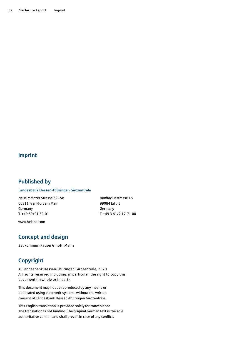### Imprint

### Published by

#### **Landesbank Hessen-Thüringen Girozentrale**

Neue Mainzer Strasse 52–58 60311 Frankfurt am Main Germany T +49 69/91 32-01

Bonifaciusstrasse 16 99084 Erfurt Germany T +49 3 61/2 17-71 00

www.helaba.com

### Concept and design

3st kommunikation GmbH, Mainz

### Copyright

© Landesbank Hessen-Thüringen Girozentrale, 2020 All rights reserved including, in particular, the right to copy this document (in whole or in part).

This document may not be reproduced by any means or duplicated using electronic systems without the written consent of Landesbank Hessen-Thüringen Girozentrale.

This English translation is provided solely for convenience. The translation is not binding. The original German text is the sole authoritative version and shall prevail in case of any conflict.